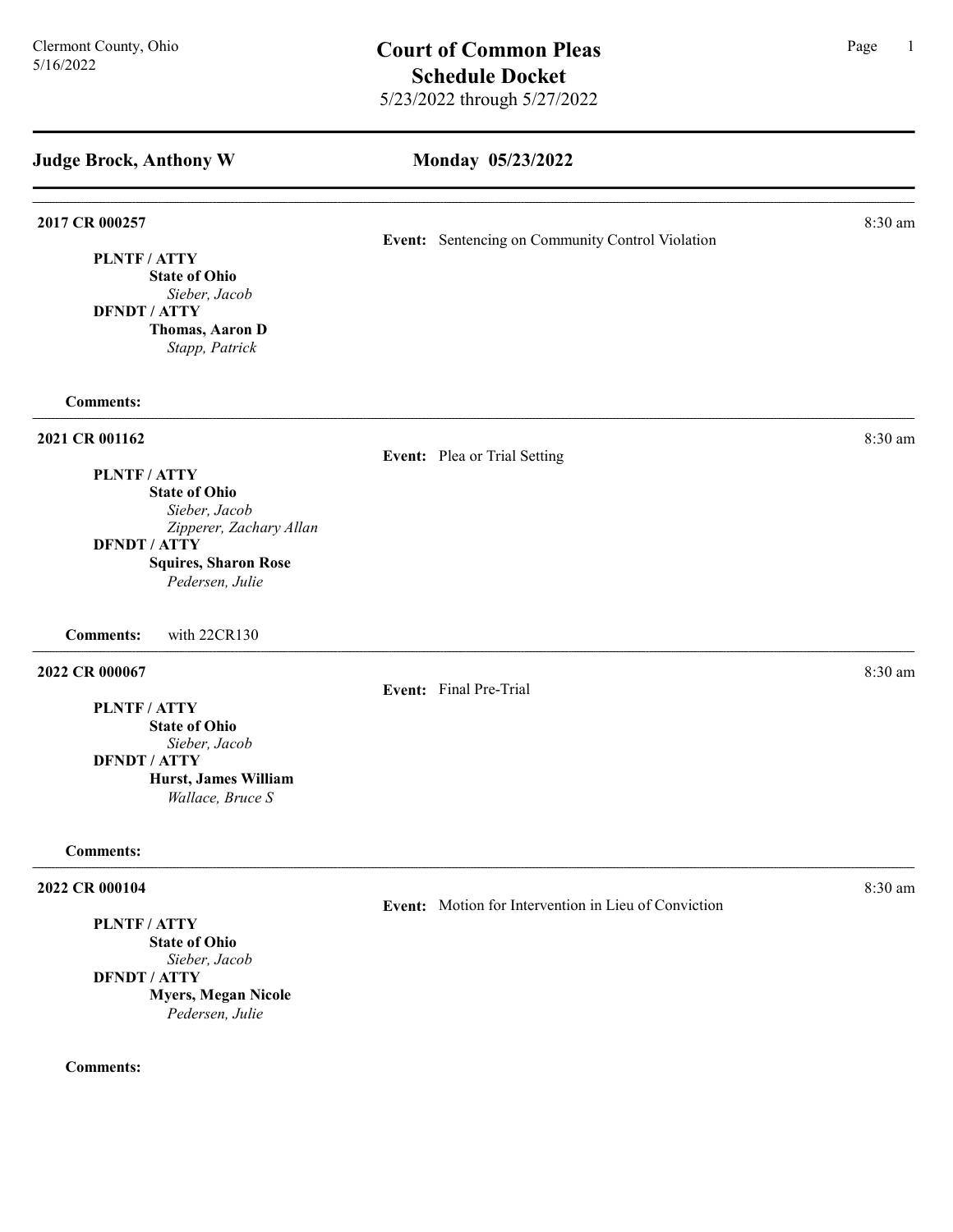# Monday 05/23/2022

| 2017 CR 000257                                                                                                                                       |                                                  |                                                      | 8:30 am |
|------------------------------------------------------------------------------------------------------------------------------------------------------|--------------------------------------------------|------------------------------------------------------|---------|
| PLNTF / ATTY<br><b>State of Ohio</b><br>Sieber, Jacob<br><b>DFNDT / ATTY</b><br>Thomas, Aaron D<br>Stapp, Patrick                                    | Event: Sentencing on Community Control Violation |                                                      |         |
| <b>Comments:</b>                                                                                                                                     |                                                  |                                                      |         |
| 2021 CR 001162<br>PLNTF / ATTY                                                                                                                       |                                                  | Event: Plea or Trial Setting                         | 8:30 am |
| <b>State of Ohio</b><br>Sieber, Jacob<br>Zipperer, Zachary Allan<br><b>DFNDT / ATTY</b><br><b>Squires, Sharon Rose</b><br>Pedersen, Julie            |                                                  |                                                      |         |
| with 22CR130<br><b>Comments:</b>                                                                                                                     |                                                  |                                                      |         |
| 2022 CR 000067<br>PLNTF / ATTY<br><b>State of Ohio</b><br>Sieber, Jacob<br><b>DFNDT / ATTY</b><br>Hurst, James William<br>Wallace, Bruce S           |                                                  | Event: Final Pre-Trial                               | 8:30 am |
| <b>Comments:</b>                                                                                                                                     |                                                  |                                                      |         |
| 2022 CR 000104<br><b>PLNTF/ATTY</b><br><b>State of Ohio</b><br>Sieber, Jacob<br><b>DFNDT / ATTY</b><br><b>Myers, Megan Nicole</b><br>Pedersen, Julie |                                                  | Event: Motion for Intervention in Lieu of Conviction | 8:30 am |
| <b>Comments:</b>                                                                                                                                     |                                                  |                                                      |         |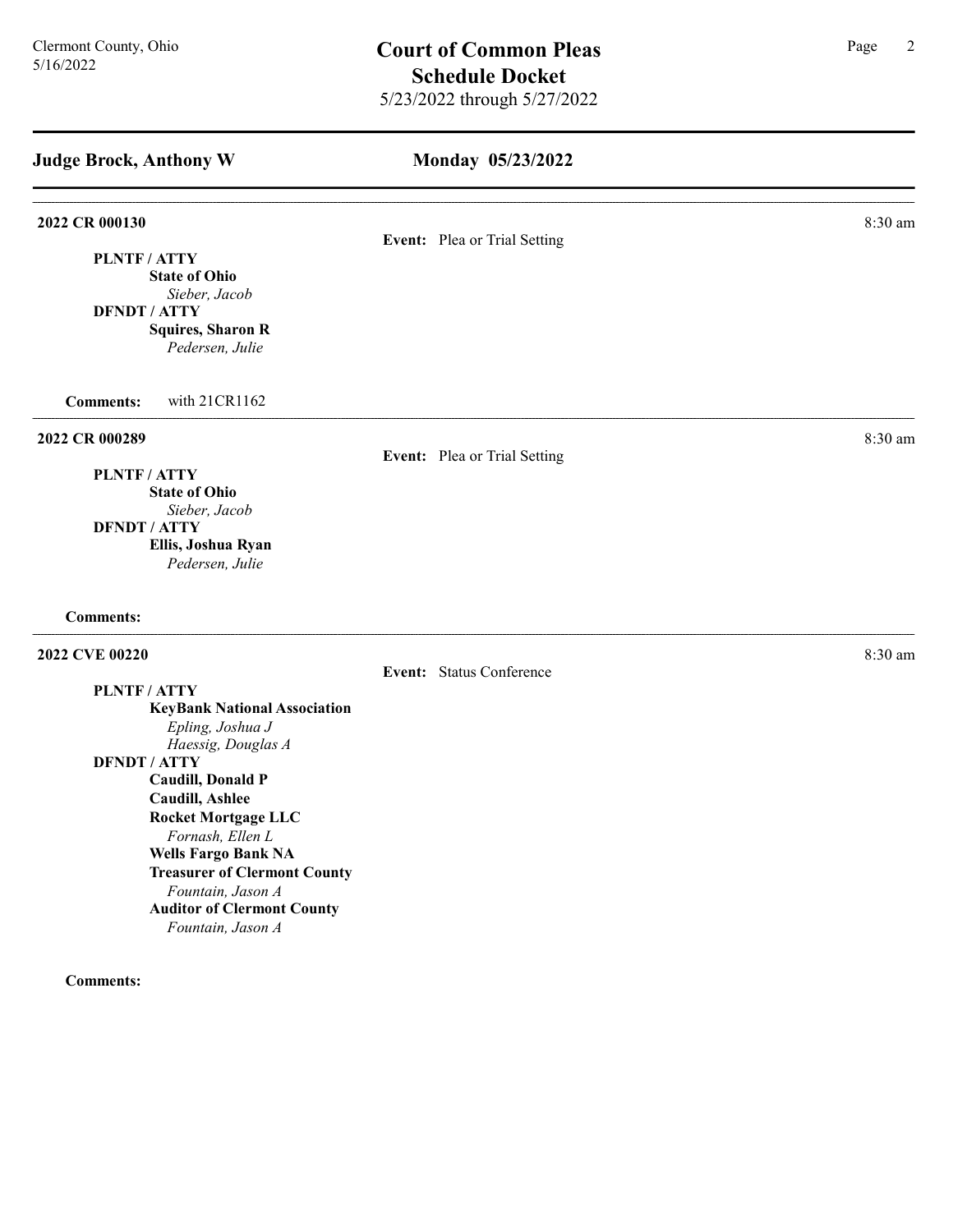| <b>Judge Brock, Anthony W</b>                            | Monday 05/23/2022            |           |
|----------------------------------------------------------|------------------------------|-----------|
| 2022 CR 000130                                           |                              | 8:30 am   |
| PLNTF/ATTY                                               | Event: Plea or Trial Setting |           |
| <b>State of Ohio</b>                                     |                              |           |
| Sieber, Jacob<br><b>DFNDT / ATTY</b>                     |                              |           |
| <b>Squires, Sharon R</b>                                 |                              |           |
| Pedersen, Julie                                          |                              |           |
| <b>Comments:</b><br>with 21CR1162                        |                              |           |
| 2022 CR 000289                                           |                              | 8:30 am   |
| PLNTF/ATTY                                               | Event: Plea or Trial Setting |           |
| <b>State of Ohio</b>                                     |                              |           |
| Sieber, Jacob                                            |                              |           |
| <b>DFNDT / ATTY</b>                                      |                              |           |
| Ellis, Joshua Ryan<br>Pedersen, Julie                    |                              |           |
| <b>Comments:</b>                                         |                              |           |
| 2022 CVE 00220                                           |                              | $8:30$ am |
|                                                          | Event: Status Conference     |           |
| PLNTF / ATTY<br><b>KeyBank National Association</b>      |                              |           |
| Epling, Joshua J                                         |                              |           |
| Haessig, Douglas A                                       |                              |           |
| <b>DFNDT / ATTY</b>                                      |                              |           |
| <b>Caudill, Donald P</b><br><b>Caudill, Ashlee</b>       |                              |           |
| <b>Rocket Mortgage LLC</b>                               |                              |           |
| Fornash, Ellen L                                         |                              |           |
| <b>Wells Fargo Bank NA</b>                               |                              |           |
| <b>Treasurer of Clermont County</b><br>Fountain, Jason A |                              |           |
| <b>Auditor of Clermont County</b>                        |                              |           |
| Fountain, Jason A                                        |                              |           |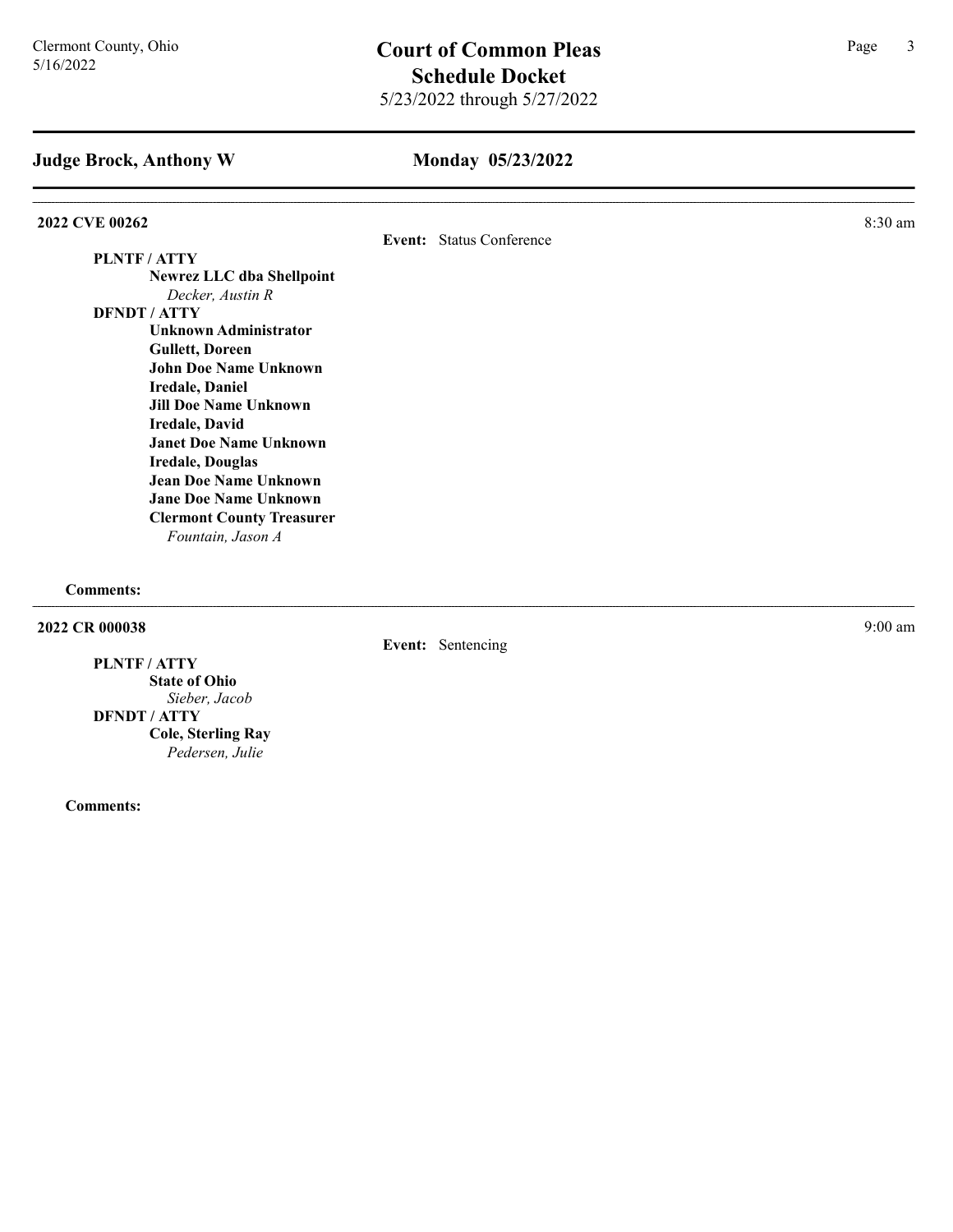## Monday 05/23/2022

### 2022 CVE 00262 8:30 am 2022 2022 CVE 00262

Event: Status Conference

# PLNTF / ATTY Newrez LLC dba Shellpoint Decker, Austin R

DFNDT / ATTY Unknown Administrator Gullett, Doreen John Doe Name Unknown Iredale, Daniel Jill Doe Name Unknown Iredale, David Janet Doe Name Unknown Iredale, Douglas Jean Doe Name Unknown Jane Doe Name Unknown Clermont County Treasurer Fountain, Jason A

Comments:

2022 CR 000038 9:00 am 2022 CR 000038

PLNTF / ATTY

State of Ohio Sieber, Jacob DFNDT / ATTY Cole, Sterling Ray Pedersen, Julie

Comments:

Event: Sentencing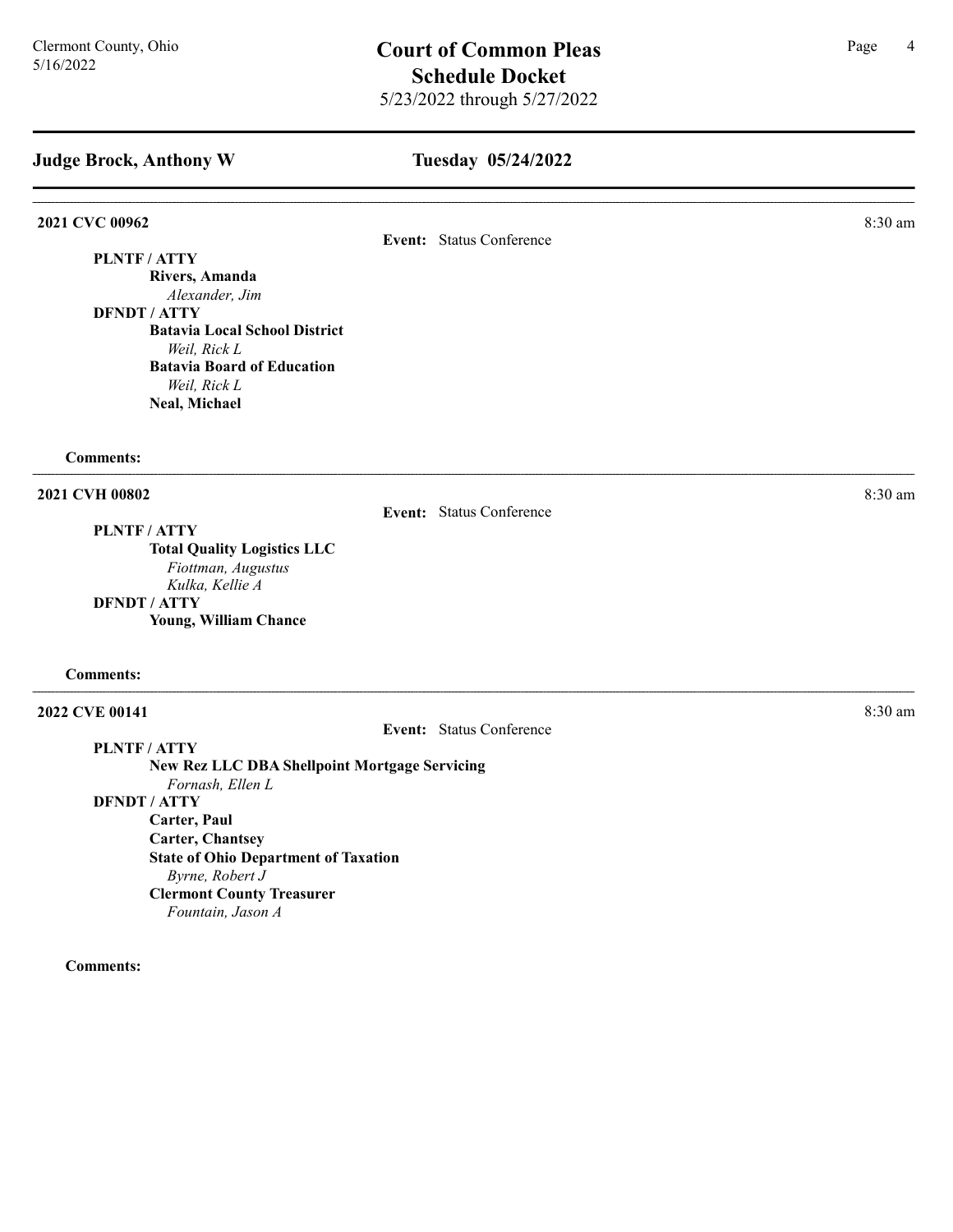## Tuesday 05/24/2022

**2021 CVC 00962** 8:30 am **8:30 am** 

PLNTF / ATTY

Rivers, Amanda Alexander, Jim

DFNDT / ATTY Batavia Local School District Weil, Rick L Batavia Board of Education Weil, Rick L Neal, Michael

#### Comments:

2021 CVH 00802 8:30 am

Event: Status Conference

Event: Status Conference

PLNTF / ATTY

Total Quality Logistics LLC Fiottman, Augustus Kulka, Kellie A DFNDT / ATTY Young, William Chance

#### Comments:

**2022 CVE 00141** 8:30 am **8:30 am** 

PLNTF / ATTY

New Rez LLC DBA Shellpoint Mortgage Servicing

Fornash, Ellen L

DFNDT / ATTY

Carter, Paul

Carter, Chantsey

State of Ohio Department of Taxation Byrne, Robert J Clermont County Treasurer Fountain, Jason A

Comments:

Event: Status Conference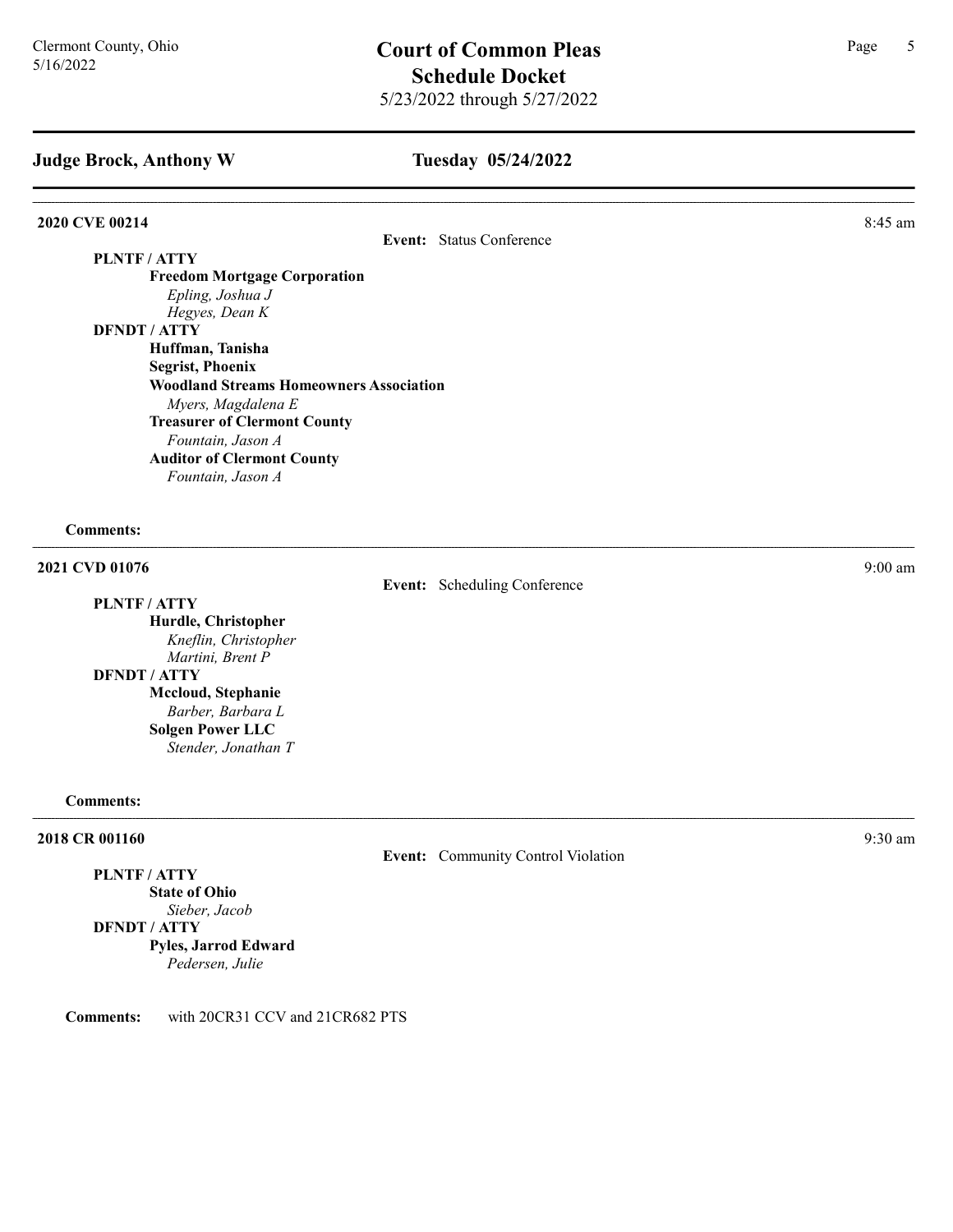# Tuesday 05/24/2022

### **2020 CVE 00214** 8:45 am **8**

Event: Status Conference

PLNTF / ATTY

Freedom Mortgage Corporation Epling, Joshua J Hegyes, Dean K DFNDT / ATTY Huffman, Tanisha

Segrist, Phoenix Woodland Streams Homeowners Association Myers, Magdalena E Treasurer of Clermont County Fountain, Jason A Auditor of Clermont County Fountain, Jason A

### Comments:

2021 CVD 01076 9:00 am

PLNTF / ATTY Hurdle, Christopher Kneflin, Christopher Martini, Brent P DFNDT / ATTY Mccloud, Stephanie Barber, Barbara L Solgen Power LLC Stender, Jonathan T

#### Comments:

#### **2018 CR 001160** 9:30 am 9:30 am 9:30 am 9:30 am 9:30 am 9:30 am 9:30 am 9:30 am 9:30 am 9:30 am 9:30 am 9:30 am 9:30 am 9:30 am 9:30 am 9:30 am 9:30 am 9:30 am 9:30 am 9:30 am 9:30 am 9:30 am 9:30 am 9:30 am 9:30 am 9:30

Event: Community Control Violation

Event: Scheduling Conference

#### PLNTF / ATTY State of Ohio

Sieber, Jacob

DFNDT / ATTY Pyles, Jarrod Edward Pedersen, Julie

Comments: with 20CR31 CCV and 21CR682 PTS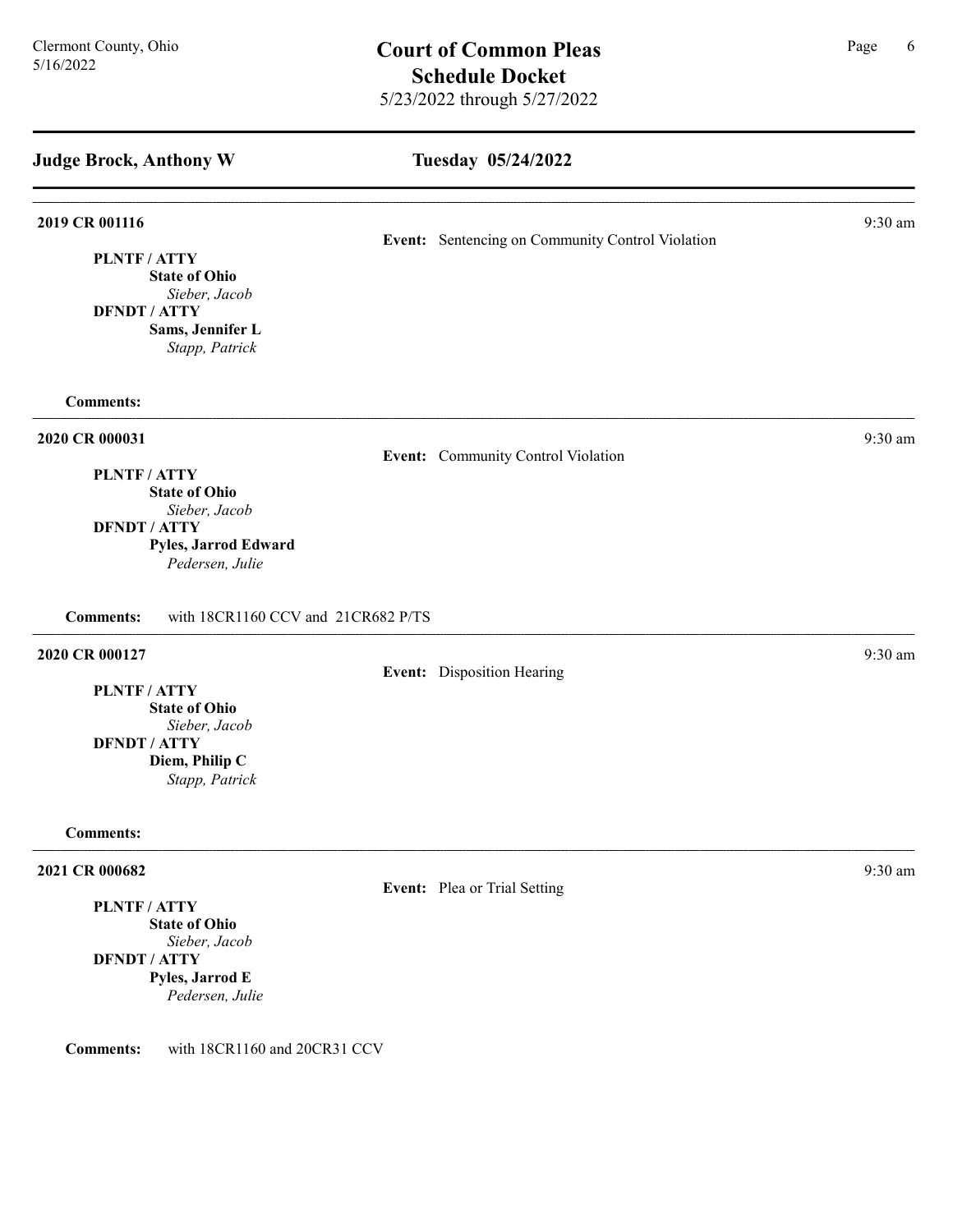# Tuesday 05/24/2022 Judge Brock, Anthony W **2019 CR 001116** 9:30 am 9:30 am 9:30 am 9:30 am 9:30 am 9:30 am 9:30 am 9:30 am 9:30 am 9:30 am 9:30 am 9:30 am 9:30 am 9:30 am 9:30 am 9:30 am 9:30 am 9:30 am 9:30 am 9:30 am 9:30 am 9:30 am 9:30 am 9:30 am 9:30 am 9:30 Event: Sentencing on Community Control Violation PLNTF / ATTY State of Ohio Sieber, Jacob DFNDT / ATTY Sams, Jennifer L Stapp, Patrick Comments: 2020 CR 000031 9:30 am 9:30 am 9:30 am 9:30 am 9:30 am 9:30 am 9:30 am 9:30 am 9:30 am 9:30 am 9:30 am 9:30 am 9:30 am 9:30 am 9:30 am 9:30 am 9:30 am 9:30 am 9:30 am 9:30 am 9:30 am 9:30 am 9:30 am 9:30 am 9:30 am 9:30 am Event: Community Control Violation PLNTF / ATTY State of Ohio Sieber, Jacob DFNDT / ATTY Pyles, Jarrod Edward Pedersen, Julie Comments: with 18CR1160 CCV and 21CR682 P/TS 2020 CR 000127 9:30 am 9:30 am 9:30 am 9:30 am 9:30 am 9:30 am 9:30 am 9:30 am 9:30 am 9:30 am 9:30 am 9:30 am 9:30 am 9:30 am 9:30 am 9:30 am 9:30 am 9:30 am 9:30 am 9:30 am 9:30 am 9:30 am 9:30 am 9:30 am 9:30 am 9:30 am Event: Disposition Hearing PLNTF / ATTY State of Ohio Sieber, Jacob DFNDT / ATTY Diem, Philip C Stapp, Patrick Comments: 2021 CR 000682 9:30 am 2021 9:30 am 2021 0 2021 6 2:30 am 3:30 am 3:30 am 3:30 am 3:30 am 3:30 am 3:30 am 3:30 am 3:30 am 3:30 am 3:30 am 3:30 am 3:30 am 3:30 am 3:30 am 3:30 am 3:30 am 3:30 am 3:30 am 3:30 am 3:30 am 3:30 Event: Plea or Trial Setting PLNTF / ATTY State of Ohio Sieber, Jacob DFNDT / ATTY Pyles, Jarrod E Pedersen, Julie

Comments: with 18CR1160 and 20CR31 CCV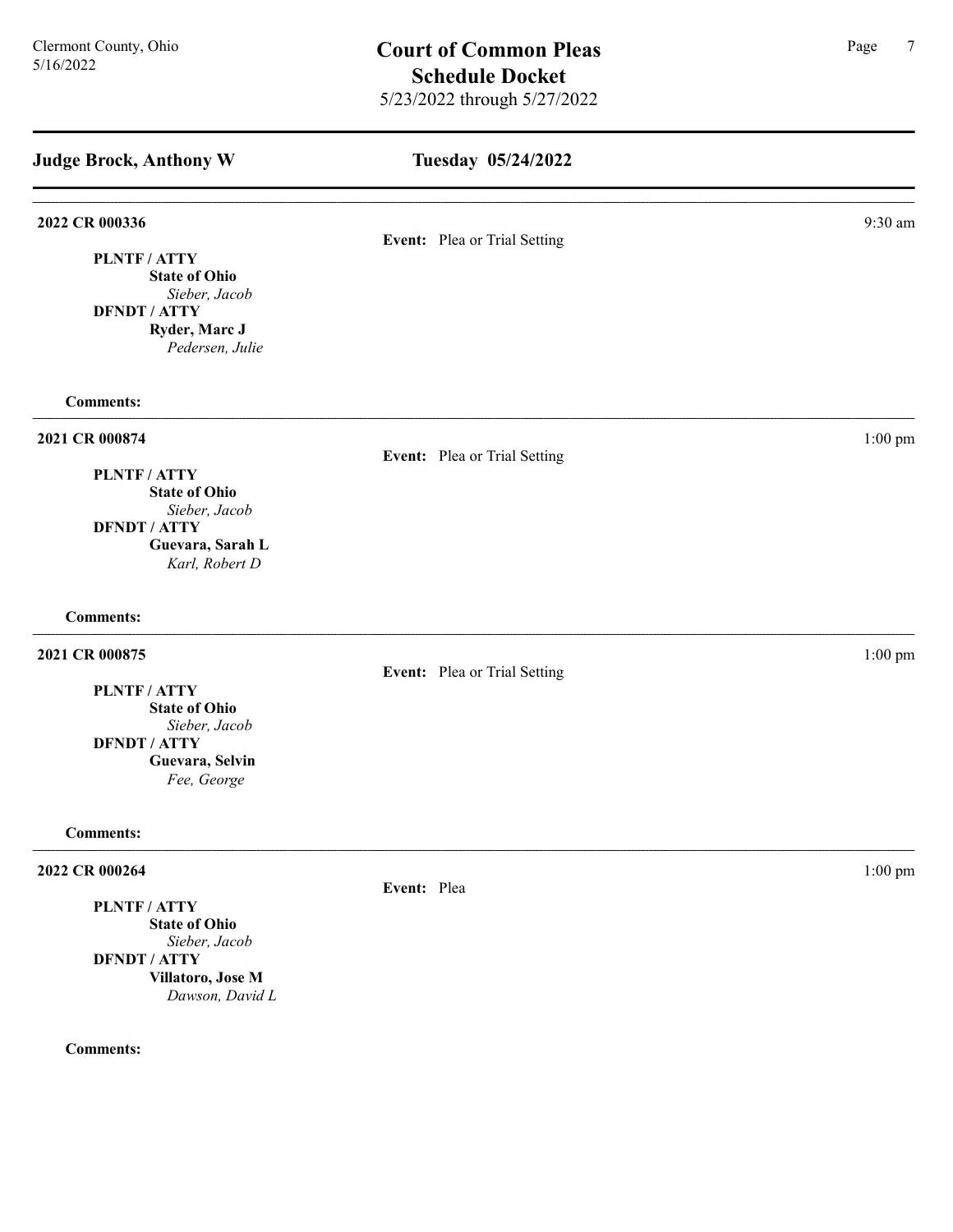Tuesday 05/24/2022 Judge Brock, Anthony W 2022 CR 000336 9:30 am 9:30 am 6.9 am 6.9 am 6.9 am 6.9 am 6.9 am 6.9 am 6.9 am 6.9 am 6.9 am 6.9 am 6.9 am 6. Event: Plea or Trial Setting PLNTF / ATTY State of Ohio Sieber, Jacob DFNDT / ATTY Ryder, Marc J Pedersen, Julie Comments: 2021 CR 000874 1:00 pm Event: Plea or Trial Setting PLNTF / ATTY State of Ohio Sieber, Jacob DFNDT / ATTY Guevara, Sarah L Karl, Robert D Comments: 2021 CR 000875 1:00 pm Event: Plea or Trial Setting PLNTF / ATTY State of Ohio Sieber, Jacob DFNDT / ATTY

Comments:

# 2022 CR 000264 1:00 pm

PLNTF / ATTY State of Ohio Sieber, Jacob DFNDT / ATTY Villatoro, Jose M Dawson, David L

Guevara, Selvin Fee, George

Comments:

Event: Plea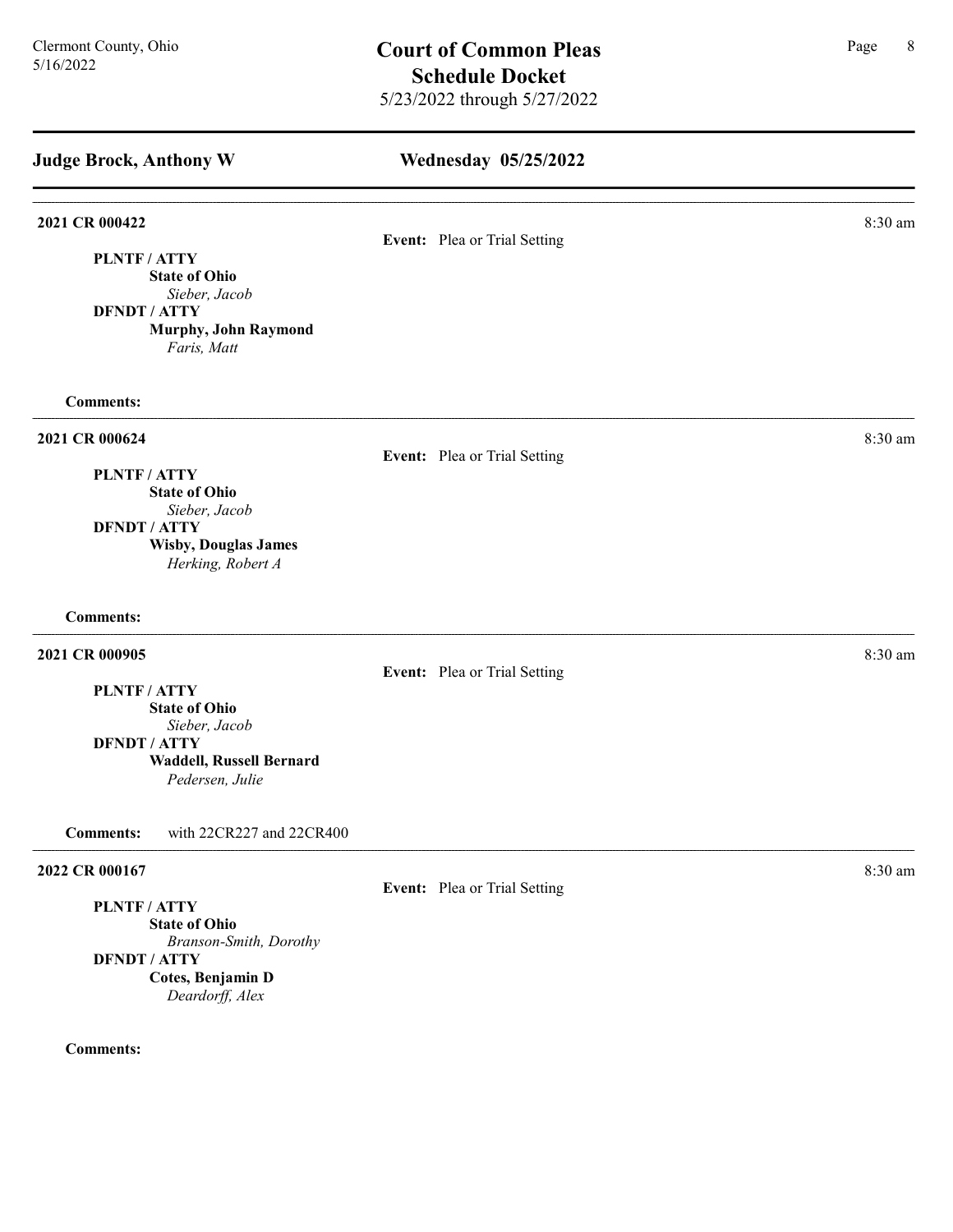| <b>Judge Brock, Anthony W</b>                                                                        | Wednesday 05/25/2022         |         |
|------------------------------------------------------------------------------------------------------|------------------------------|---------|
|                                                                                                      |                              |         |
| 2021 CR 000422                                                                                       |                              | 8:30 am |
| PLNTF / ATTY<br><b>State of Ohio</b><br>Sieber, Jacob<br><b>DFNDT / ATTY</b><br>Murphy, John Raymond | Event: Plea or Trial Setting |         |
| Faris, Matt                                                                                          |                              |         |
| <b>Comments:</b>                                                                                     |                              |         |
| 2021 CR 000624                                                                                       | Event: Plea or Trial Setting | 8:30 am |
| PLNTF/ATTY<br><b>State of Ohio</b>                                                                   |                              |         |
| Sieber, Jacob                                                                                        |                              |         |
| <b>DFNDT / ATTY</b><br><b>Wisby, Douglas James</b><br>Herking, Robert A                              |                              |         |
| <b>Comments:</b>                                                                                     |                              |         |
| 2021 CR 000905                                                                                       | Event: Plea or Trial Setting | 8:30 am |
| PLNTF / ATTY                                                                                         |                              |         |
| <b>State of Ohio</b><br>Sieber, Jacob                                                                |                              |         |
| <b>DFNDT / ATTY</b>                                                                                  |                              |         |
| Waddell, Russell Bernard<br>Pedersen, Julie                                                          |                              |         |
| <b>Comments:</b><br>with 22CR227 and 22CR400                                                         |                              |         |
| 2022 CR 000167                                                                                       |                              | 8:30 am |
| <b>PLNTF/ATTY</b>                                                                                    | Event: Plea or Trial Setting |         |
| <b>State of Ohio</b>                                                                                 |                              |         |
| Branson-Smith, Dorothy                                                                               |                              |         |
| <b>DFNDT / ATTY</b><br>Cotes, Benjamin D                                                             |                              |         |

Deardorff, Alex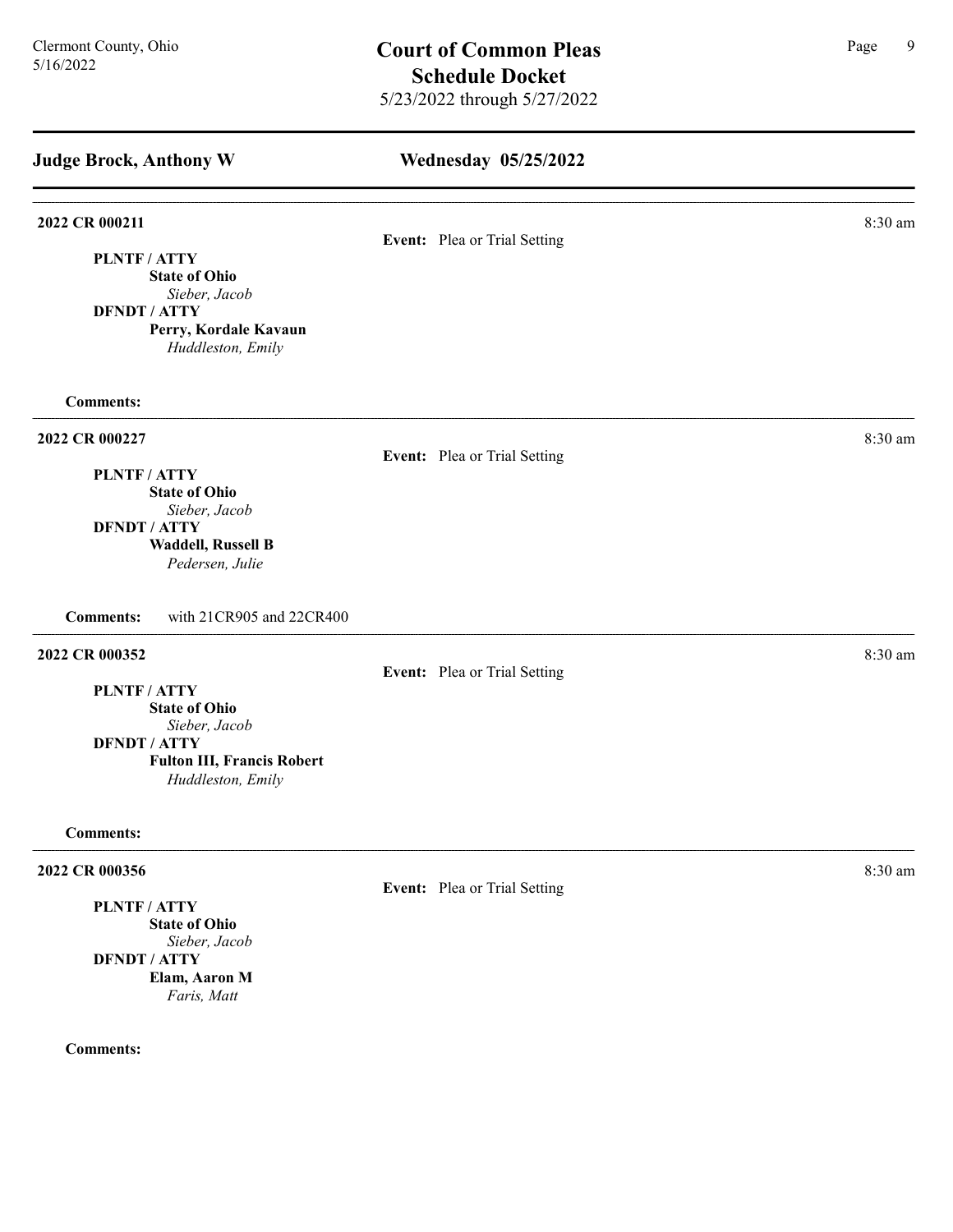| <b>Judge Brock, Anthony W</b>                                                                                                          | <b>Wednesday 05/25/2022</b>  |         |  |
|----------------------------------------------------------------------------------------------------------------------------------------|------------------------------|---------|--|
| 2022 CR 000211<br>PLNTF / ATTY<br><b>State of Ohio</b><br>Sieber, Jacob                                                                | Event: Plea or Trial Setting | 8:30 am |  |
| <b>DFNDT / ATTY</b><br>Perry, Kordale Kavaun<br>Huddleston, Emily                                                                      |                              |         |  |
| <b>Comments:</b>                                                                                                                       |                              |         |  |
| 2022 CR 000227<br>PLNTF / ATTY<br><b>State of Ohio</b><br>Sieber, Jacob<br><b>DFNDT / ATTY</b><br><b>Waddell, Russell B</b>            | Event: Plea or Trial Setting | 8:30 am |  |
| Pedersen, Julie<br>with 21CR905 and 22CR400<br><b>Comments:</b><br>2022 CR 000352                                                      |                              | 8:30 am |  |
| PLNTF / ATTY<br><b>State of Ohio</b><br>Sieber, Jacob<br><b>DFNDT / ATTY</b><br><b>Fulton III, Francis Robert</b><br>Huddleston, Emily | Event: Plea or Trial Setting |         |  |
| <b>Comments:</b>                                                                                                                       |                              |         |  |
| 2022 CR 000356<br>PLNTF / ATTY<br><b>State of Ohio</b>                                                                                 | Event: Plea or Trial Setting | 8:30 am |  |

Sieber, Jacob DFNDT / ATTY Elam, Aaron M Faris, Matt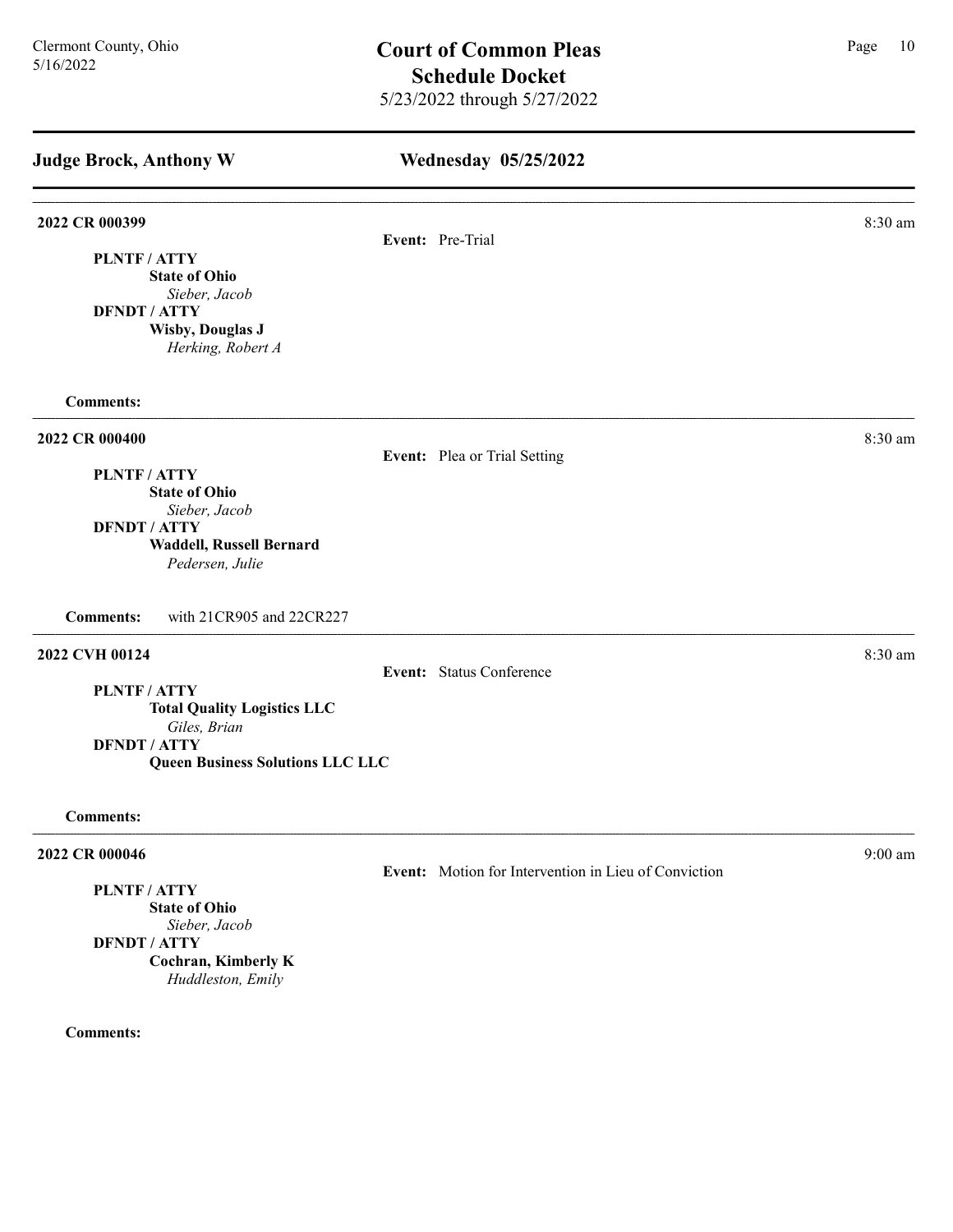| <b>Judge Brock, Anthony W</b>                                  | Wednesday 05/25/2022                                 |           |
|----------------------------------------------------------------|------------------------------------------------------|-----------|
| 2022 CR 000399                                                 | Event: Pre-Trial                                     | 8:30 am   |
| PLNTF/ATTY                                                     |                                                      |           |
| <b>State of Ohio</b>                                           |                                                      |           |
| Sieber, Jacob                                                  |                                                      |           |
| <b>DFNDT / ATTY</b>                                            |                                                      |           |
| <b>Wisby, Douglas J</b>                                        |                                                      |           |
| Herking, Robert A                                              |                                                      |           |
| <b>Comments:</b>                                               |                                                      |           |
| 2022 CR 000400                                                 |                                                      | $8:30$ am |
|                                                                | Event: Plea or Trial Setting                         |           |
| PLNTF / ATTY                                                   |                                                      |           |
| <b>State of Ohio</b><br>Sieber, Jacob                          |                                                      |           |
| <b>DFNDT / ATTY</b>                                            |                                                      |           |
| Waddell, Russell Bernard                                       |                                                      |           |
| Pedersen, Julie                                                |                                                      |           |
| <b>Comments:</b><br>with 21CR905 and 22CR227                   |                                                      |           |
| 2022 CVH 00124                                                 |                                                      | 8:30 am   |
|                                                                | Event: Status Conference                             |           |
| <b>PLNTF/ATTY</b>                                              |                                                      |           |
| <b>Total Quality Logistics LLC</b>                             |                                                      |           |
| Giles, Brian                                                   |                                                      |           |
| <b>DFNDT / ATTY</b><br><b>Queen Business Solutions LLC LLC</b> |                                                      |           |
|                                                                |                                                      |           |
| <b>Comments:</b>                                               |                                                      |           |
| 2022 CR 000046                                                 |                                                      | 9:00 am   |
| PLNTF / ATTY                                                   | Event: Motion for Intervention in Lieu of Conviction |           |
| <b>State of Ohio</b>                                           |                                                      |           |

Sieber, Jacob DFNDT / ATTY Cochran, Kimberly K Huddleston, Emily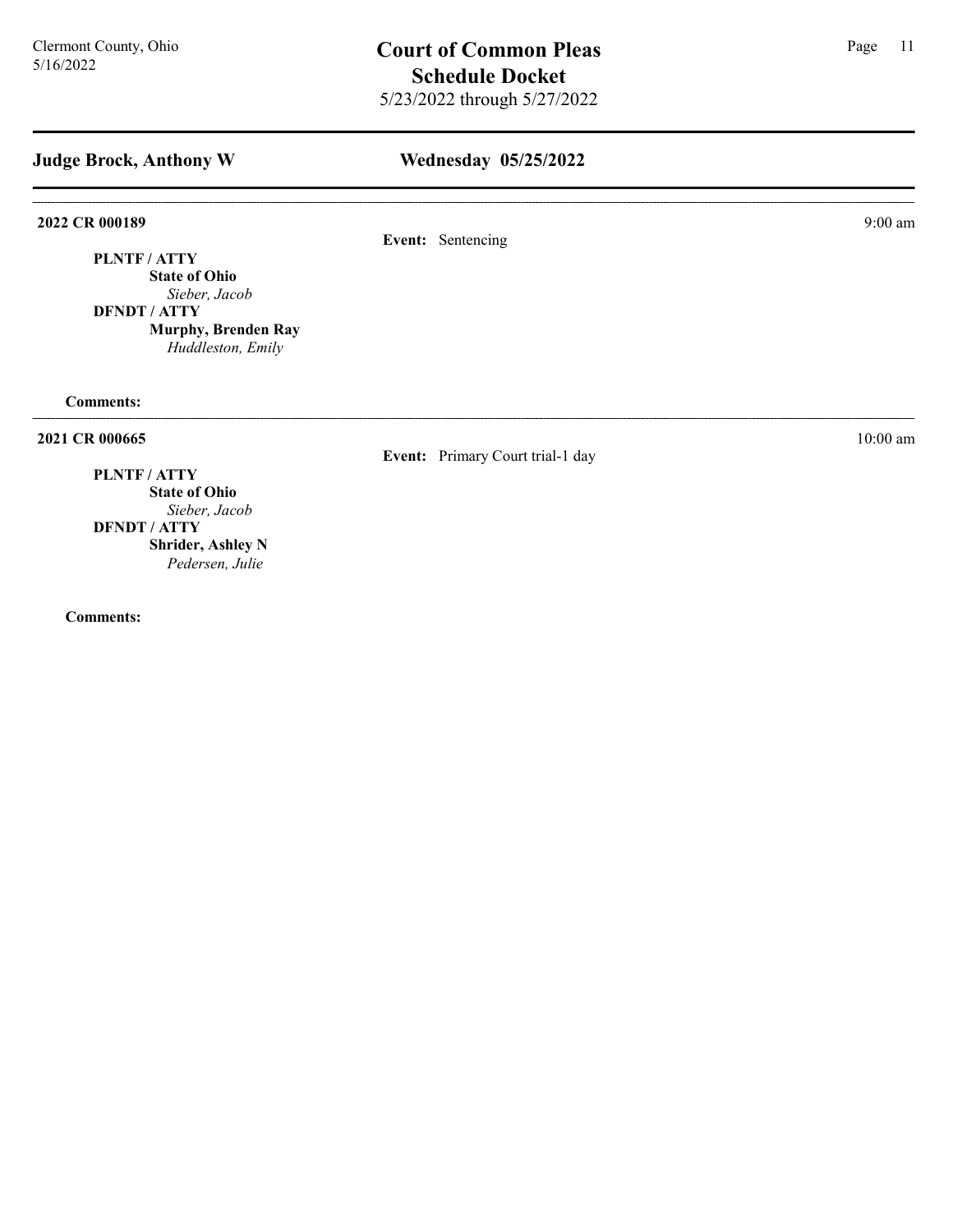# Wednesday 05/25/2022

2022 CR 000189 9:00 am 9:00 9:00 9:00 am

Event: Sentencing

PLNTF / ATTY State of Ohio

Sieber, Jacob DFNDT / ATTY

Murphy, Brenden Ray Huddleston, Emily

Comments:

**2021 CR 000665** 10:00 am 10:00 am 10:00 am 10:00 am 10:00 am 10:00 am 10:00 am 10:00 am 10:00 am 10:00 am 10:00 am 10:00 am 10:00 am 10:00 am 10:00 am 10:00 am 10:00 am 10:00 am 10:00 am 10:00 am 10:00 am 10:00 am 10:00 a

Event: Primary Court trial-1 day

# PLNTF / ATTY

State of Ohio Sieber, Jacob DFNDT / ATTY Shrider, Ashley N Pedersen, Julie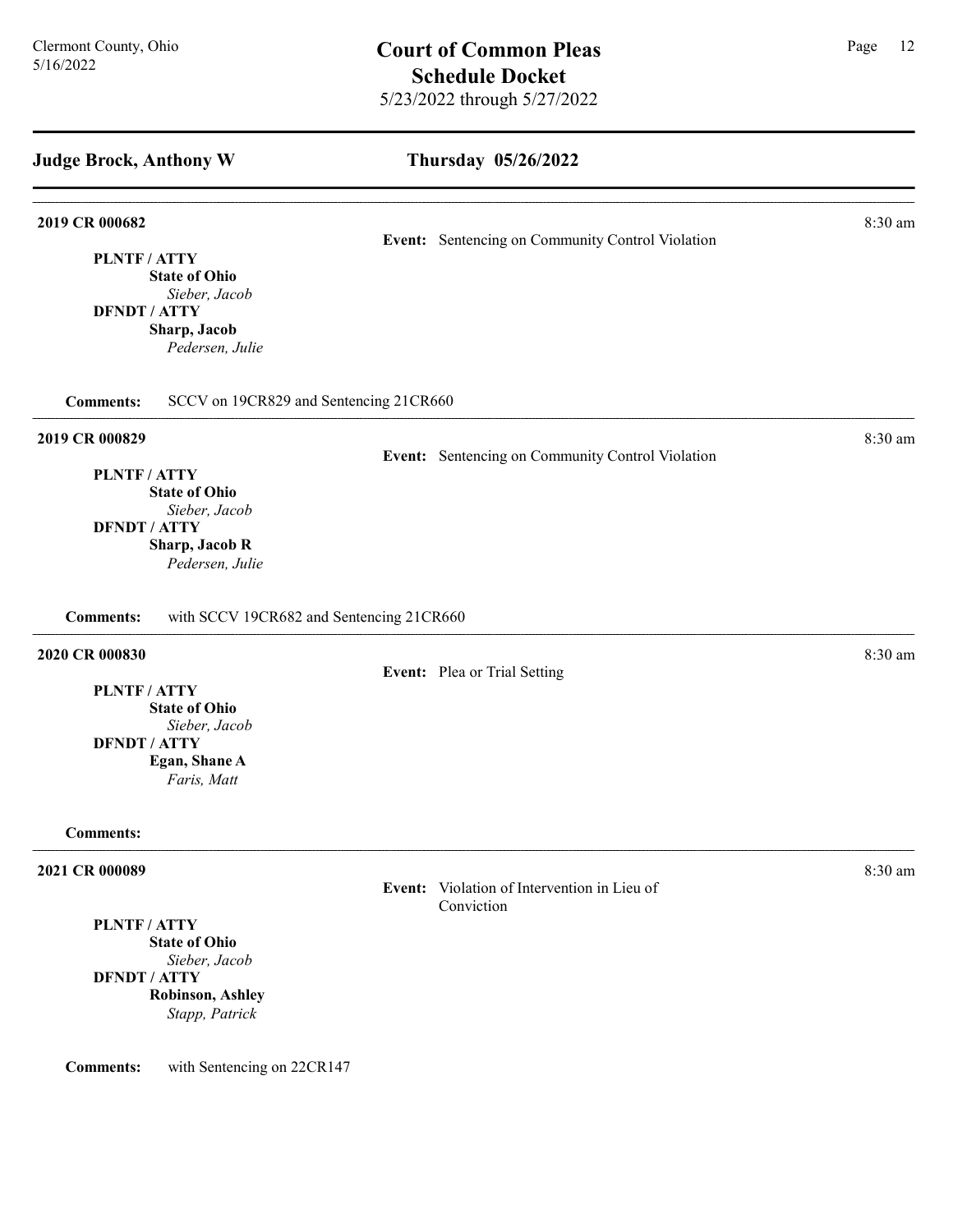### Thursday 05/26/2022

Event: Sentencing on Community Control Violation

Event: Sentencing on Community Control Violation

**2019 CR 000682** 8:30 am **8.30 am** 

PLNTF / ATTY State of Ohio Sieber, Jacob DFNDT / ATTY Sharp, Jacob

Pedersen, Julie

Comments: SCCV on 19CR829 and Sentencing 21CR660

#### **2019 CR 000829** 8:30 am **8.30 am**

PLNTF / ATTY

State of Ohio Sieber, Jacob DFNDT / ATTY Sharp, Jacob R

Pedersen, Julie

Comments: with SCCV 19CR682 and Sentencing 21CR660

## **2020 CR 000830** 8:30 am **8:30 am**

Event: Plea or Trial Setting

PLNTF / ATTY

State of Ohio Sieber, Jacob

DFNDT / ATTY

Egan, Shane A

Faris, Matt

#### Comments:

#### **2021 CR 000089** 8:30 am **8:30 am**

Event: Violation of Intervention in Lieu of Conviction

PLNTF / ATTY State of Ohio Sieber, Jacob

DFNDT / ATTY Robinson, Ashley Stapp, Patrick

Comments: with Sentencing on 22CR147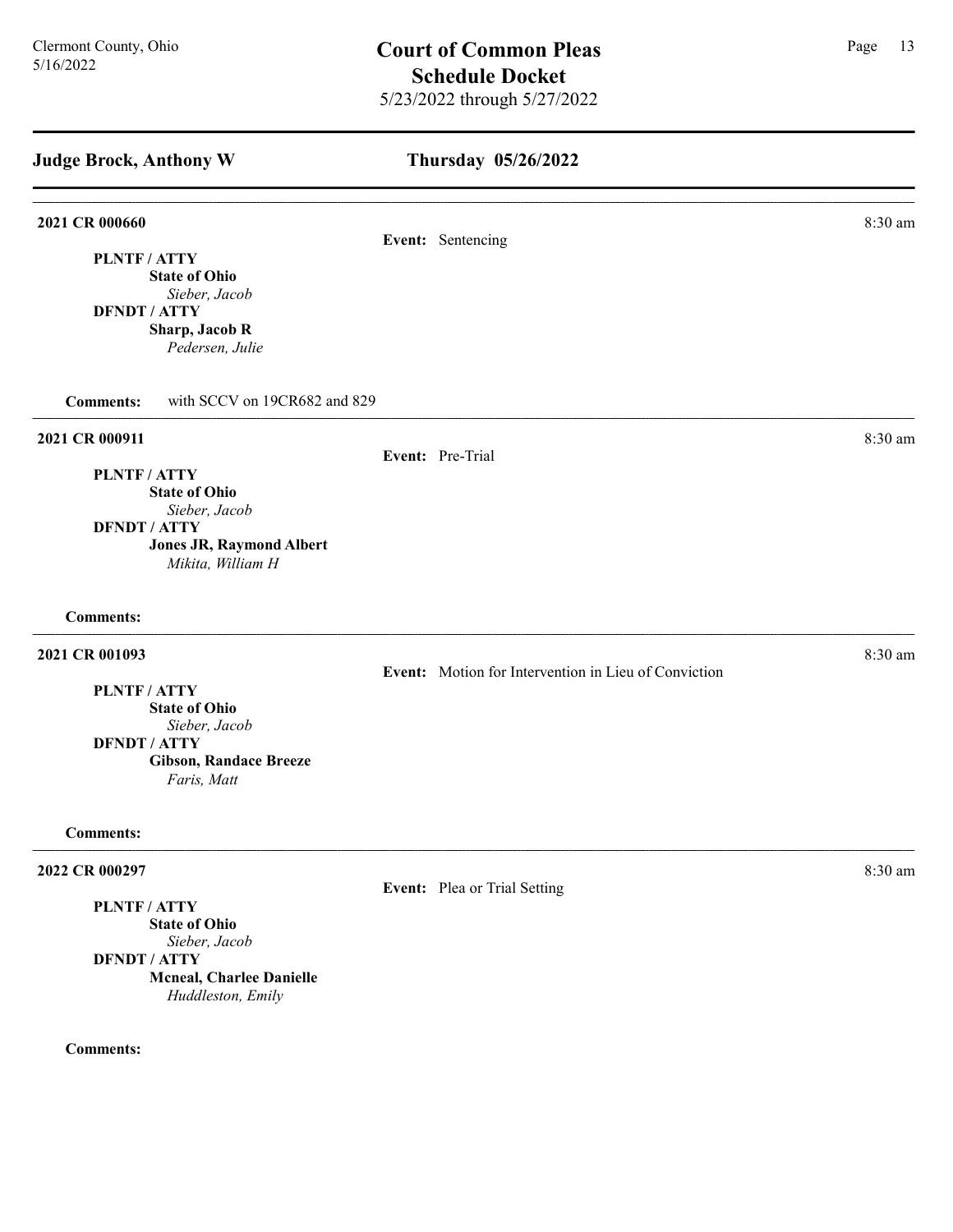## Thursday 05/26/2022

### **2021 CR 000660** 8:30 am **8:30 am**

PLNTF / ATTY State of Ohio Sieber, Jacob DFNDT / ATTY Sharp, Jacob R Pedersen, Julie

Comments: with SCCV on 19CR682 and 829

### **2021 CR 000911** 8:30 am **8:30 am**

Event: Pre-Trial

Event: Sentencing

PLNTF / ATTY State of Ohio Sieber, Jacob DFNDT / ATTY

Jones JR, Raymond Albert Mikita, William H

Comments:

### 2021 CR 001093 8:30 am

PLNTF / ATTY

State of Ohio Sieber, Jacob

DFNDT / ATTY

Gibson, Randace Breeze Faris, Matt

Comments:

#### 2022 CR 000297 8:30 am

PLNTF / ATTY

State of Ohio Sieber, Jacob DFNDT / ATTY Mcneal, Charlee Danielle

Huddleston, Emily

### Comments:

Event: Motion for Intervention in Lieu of Conviction

Event: Plea or Trial Setting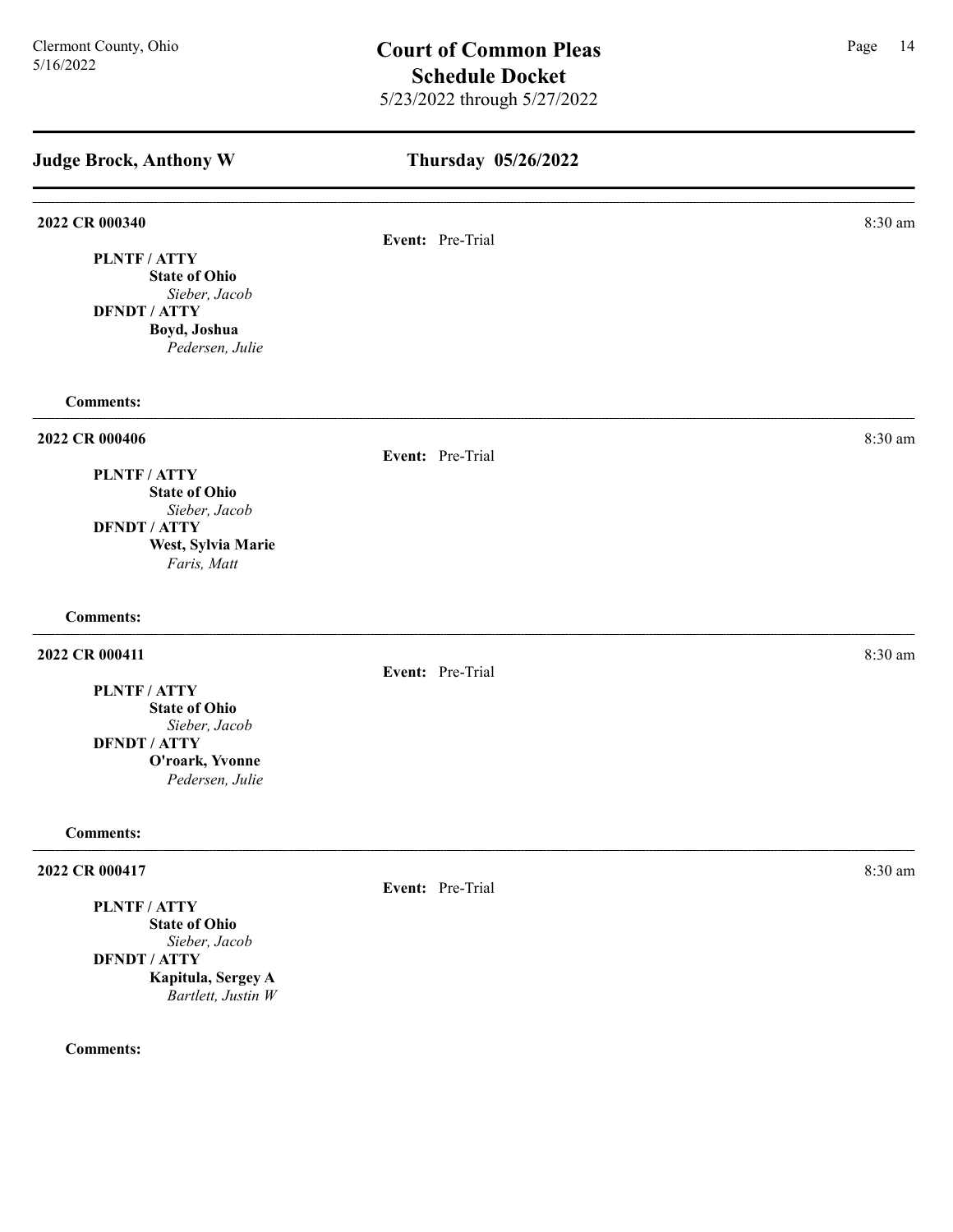| <b>Judge Brock, Anthony W</b>             | Thursday 05/26/2022 |         |
|-------------------------------------------|---------------------|---------|
| 2022 CR 000340                            | Event: Pre-Trial    | 8:30 am |
| PLNTF / ATTY<br><b>State of Ohio</b>      |                     |         |
| Sieber, Jacob                             |                     |         |
| <b>DFNDT / ATTY</b>                       |                     |         |
| Boyd, Joshua<br>Pedersen, Julie           |                     |         |
| <b>Comments:</b>                          |                     |         |
| 2022 CR 000406                            |                     | 8:30 am |
|                                           | Event: Pre-Trial    |         |
| PLNTF / ATTY<br><b>State of Ohio</b>      |                     |         |
| Sieber, Jacob                             |                     |         |
| <b>DFNDT / ATTY</b><br>West, Sylvia Marie |                     |         |
| Faris, Matt                               |                     |         |
| <b>Comments:</b>                          |                     |         |
| 2022 CR 000411                            |                     | 8:30 am |
|                                           | Event: Pre-Trial    |         |
| PLNTF / ATTY<br><b>State of Ohio</b>      |                     |         |
| Sieber, Jacob                             |                     |         |
| <b>DFNDT / ATTY</b><br>O'roark, Yvonne    |                     |         |
| Pedersen, Julie                           |                     |         |
| <b>Comments:</b>                          |                     |         |
| 2022 CR 000417                            |                     | 8:30 am |
|                                           | Event: Pre-Trial    |         |
| PLNTF / ATTY<br><b>State of Ohio</b>      |                     |         |
| Sieber, Jacob                             |                     |         |
| <b>DFNDT / ATTY</b>                       |                     |         |
| Kapitula, Sergey A<br>Bartlett, Justin W  |                     |         |
|                                           |                     |         |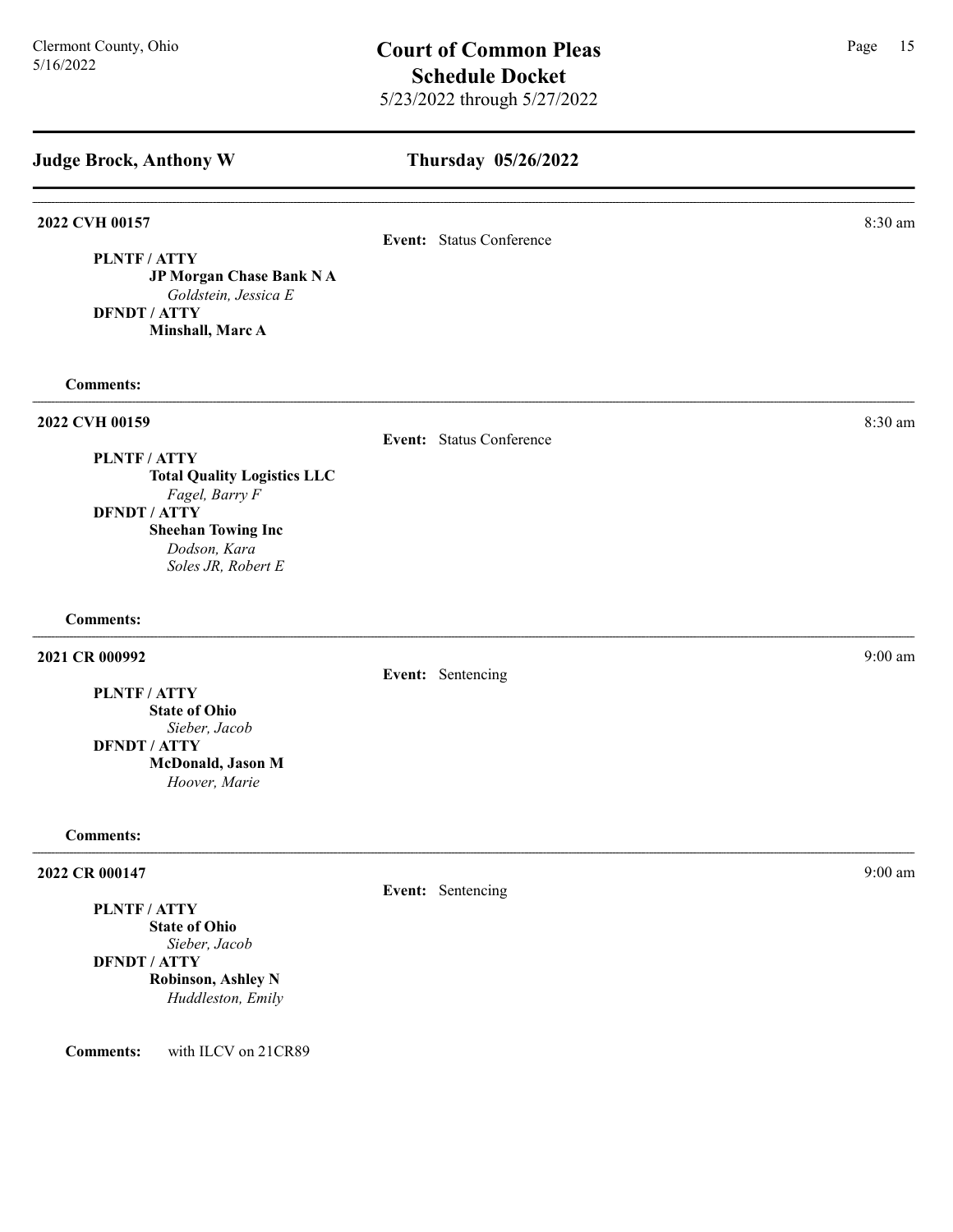| <b>Judge Brock, Anthony W</b>                                                                                                                                                         | Thursday 05/26/2022      |           |
|---------------------------------------------------------------------------------------------------------------------------------------------------------------------------------------|--------------------------|-----------|
| 2022 CVH 00157<br>PLNTF / ATTY<br>JP Morgan Chase Bank NA<br>Goldstein, Jessica E<br><b>DFNDT / ATTY</b><br>Minshall, Marc A                                                          | Event: Status Conference | 8:30 am   |
| <b>Comments:</b>                                                                                                                                                                      |                          |           |
| 2022 CVH 00159<br><b>PLNTF/ATTY</b><br><b>Total Quality Logistics LLC</b><br>Fagel, Barry F<br><b>DFNDT / ATTY</b><br><b>Sheehan Towing Inc</b><br>Dodson, Kara<br>Soles JR, Robert E | Event: Status Conference | 8:30 am   |
| <b>Comments:</b>                                                                                                                                                                      |                          |           |
| 2021 CR 000992<br><b>PLNTF/ATTY</b><br><b>State of Ohio</b><br>Sieber, Jacob<br><b>DFNDT / ATTY</b><br>McDonald, Jason M<br>Hoover, Marie                                             | Event: Sentencing        | $9:00$ am |
| <b>Comments:</b>                                                                                                                                                                      |                          |           |
| 2022 CR 000147<br>PLNTF / ATTY<br><b>State of Ohio</b><br>Sieber, Jacob<br><b>DFNDT / ATTY</b><br><b>Robinson, Ashley N</b><br>Huddleston, Emily                                      | Event: Sentencing        | $9:00$ am |

Comments: with ILCV on 21CR89